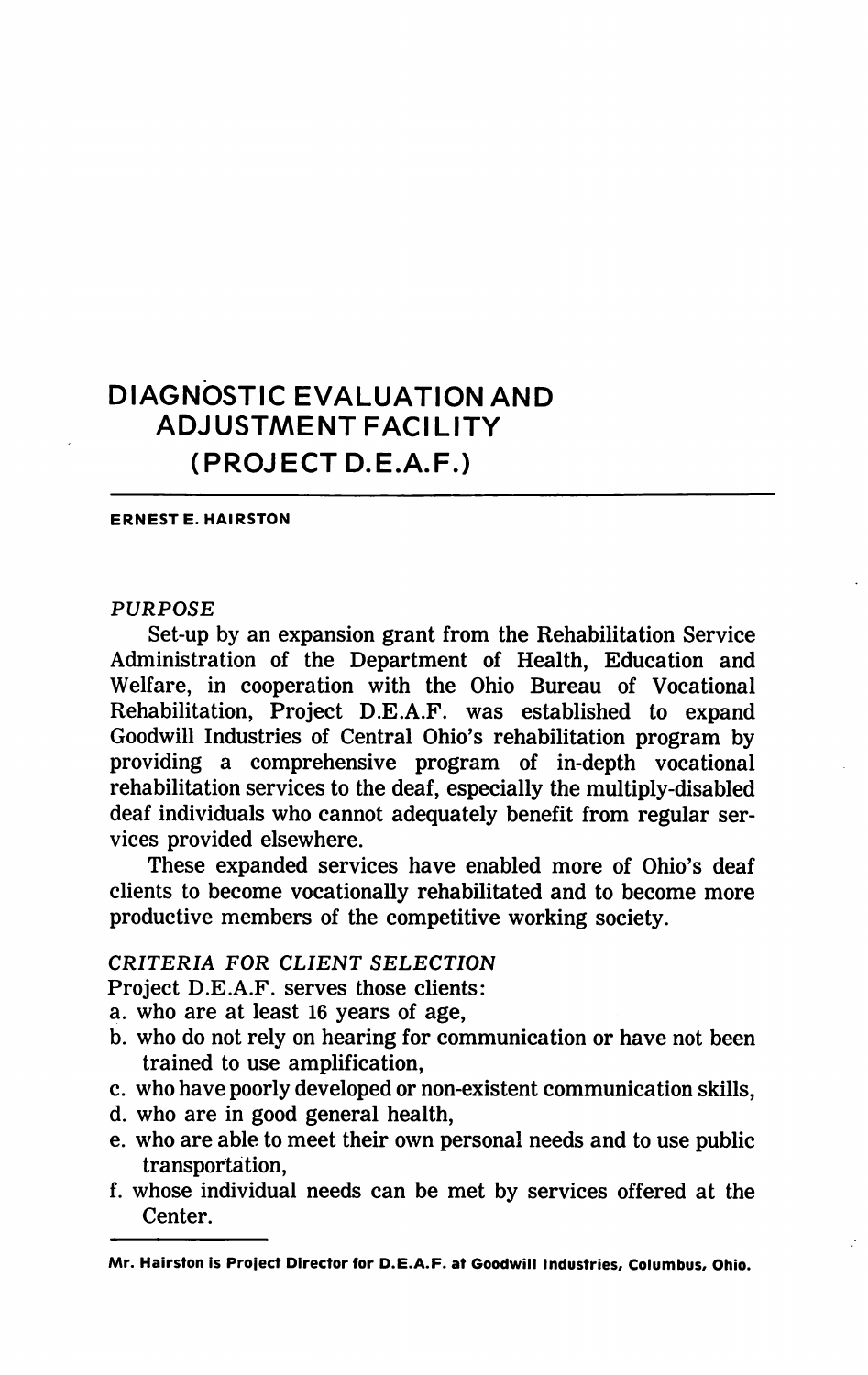# DIAGNOSTIC EVALUATION AND ADJUSTMENT FACILITY (PROJECT D.E.A.F.)

ERNEST E. HAIRSTON

## PURPOSE

Set-up by an expansion grant from the Rehabilitation Service Administration of the Department of Health, Education and Welfare, in cooperation with the Ohio Bureau of Vocational Rehabilitation, Project D.E.A.F. was established to expand Goodwill Industries of Central Ohio's rehabilitation program by providing a comprehensive program of in-depth vocational rehabilitation services to the deaf, especially the multiply-disabled deaf individuals who cannot adequately benefit from regular ser vices provided elsewhere.

These expanded services have enabled more of Ohio's deaf clients to become vocationally rehabilitated and to become more productive members of the competitive working society.

# CRITERIA FOR CLIENT SELECTION

Project D.E.A.F. serves those clients:

- a. who are at least 16 years of age,
- b. who do not rely on hearing for communication or have not been trained to use amplification,
- c. who have poorly developed or non-existent communication skills,
- d. who are in good general health,
- e. who are able to meet their own personal needs and to use public transportation,
- f. whose individual needs can be met by services offered at the Center.

Mr. Hairston is Project Director for D.E.A.F. at Goodwill Industries, Columbus, Ohio.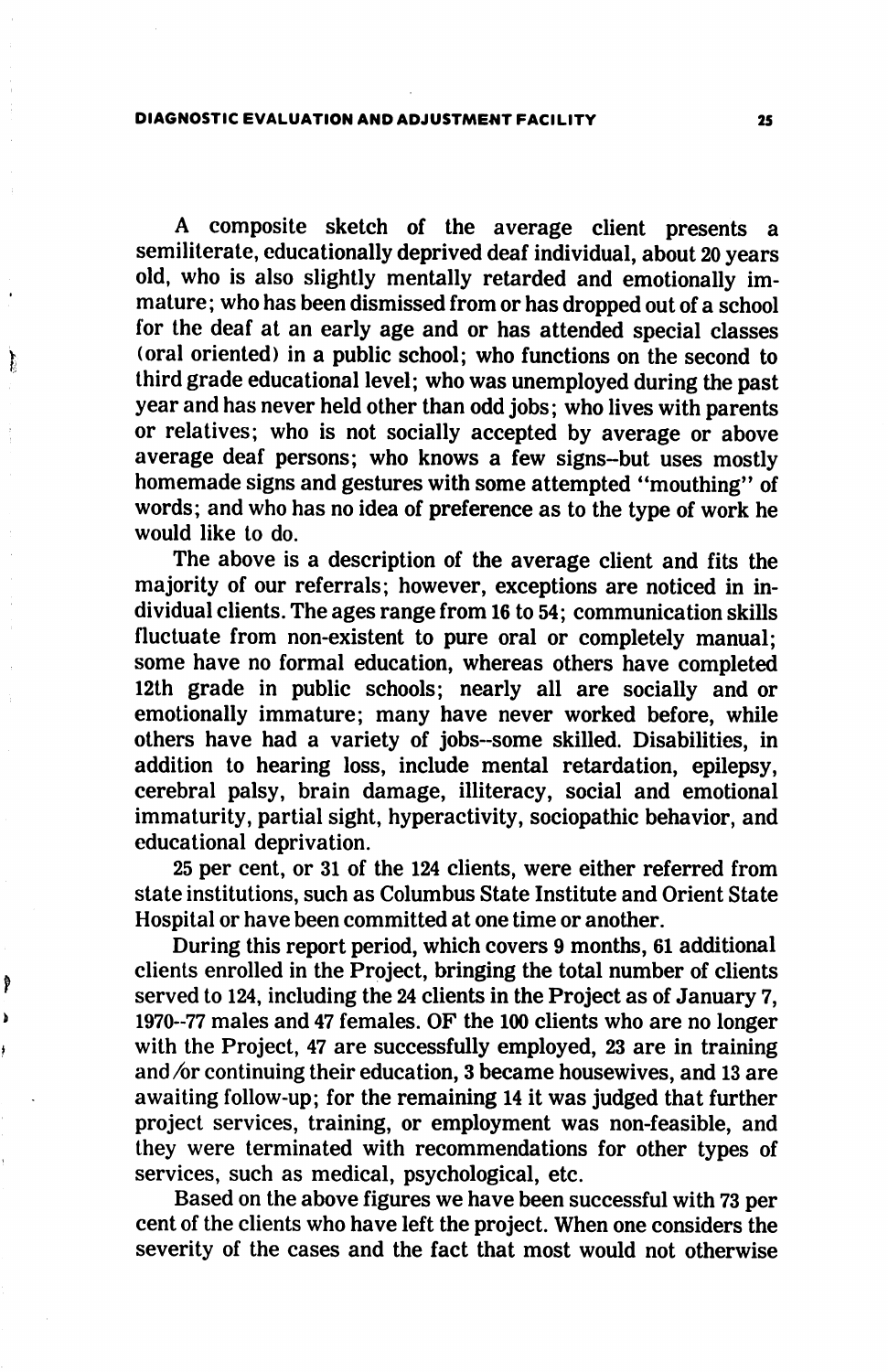#### DIAGNOSTIC EVALUATION AND ADJUSTMENT FACILITY 25

₿

Ĵ

A composite sketch of the average client presents a semiliterate, educationally deprived deaf individual, about 20 years old, who is also slightly mentally retarded and emotionally im mature; who has been dismissed from or has dropped out of a school for the deaf at an early age and or has attended special classes (oral oriented) in a public school; who functions on the second to third grade educational level; who was unemployed during the past year and has never held other than odd jobs; who lives with parents or relatives; who is not socially accepted by average or above average deaf persons; who knows a few signs-but uses mostly homemade signs and gestures with some attempted "mouthing" of words; and who has no idea of preference as to the type of work he would like to do.

The above is a description of the average client and fits the majority of our referrals; however, exceptions are noticed in in dividual clients. The ages range from 16 to 54; communication skills fluctuate from non-existent to pure oral or completely manual; some have no formal education, whereas others have completed 12th grade in public schools; nearly all are socially and or emotionally immature; many have never worked before, while others have had a variety of jobs-some skilled. Disabilities, in addition to hearing loss, include mental retardation, epilepsy, cerebral palsy, brain damage, illiteracy, social and emotional immaturity, partial sight, hyperactivity, sociopathic behavior, and educational deprivation.

25 per cent, or 31 of the 124 clients, were either referred from state institutions, such as Columbus State Institute and Orient State Hospital or have been committed at one time or another.

During this report period, which covers 9 months, 61 additional clients enrolled in the Project, bringing the total number of clients served to 124, including the 24 clients in the Project as of January 7, 1970-77 males and 47 females. OF the 100 clients who are no longer with the Project, 47 are successfully employed, 23 are in training and  $\alpha$  continuing their education, 3 became housewives, and 13 are awaiting follow-up; for the remaining 14 it was judged that further project services, training, or employment was non-feasible, and they were terminated with recommendations for other types of services, such as medical, psychological, etc.

Based on the above figures we have been successful with 73 per cent of the clients who have left the project. When one considers the severity of the cases and the fact that most would not otherwise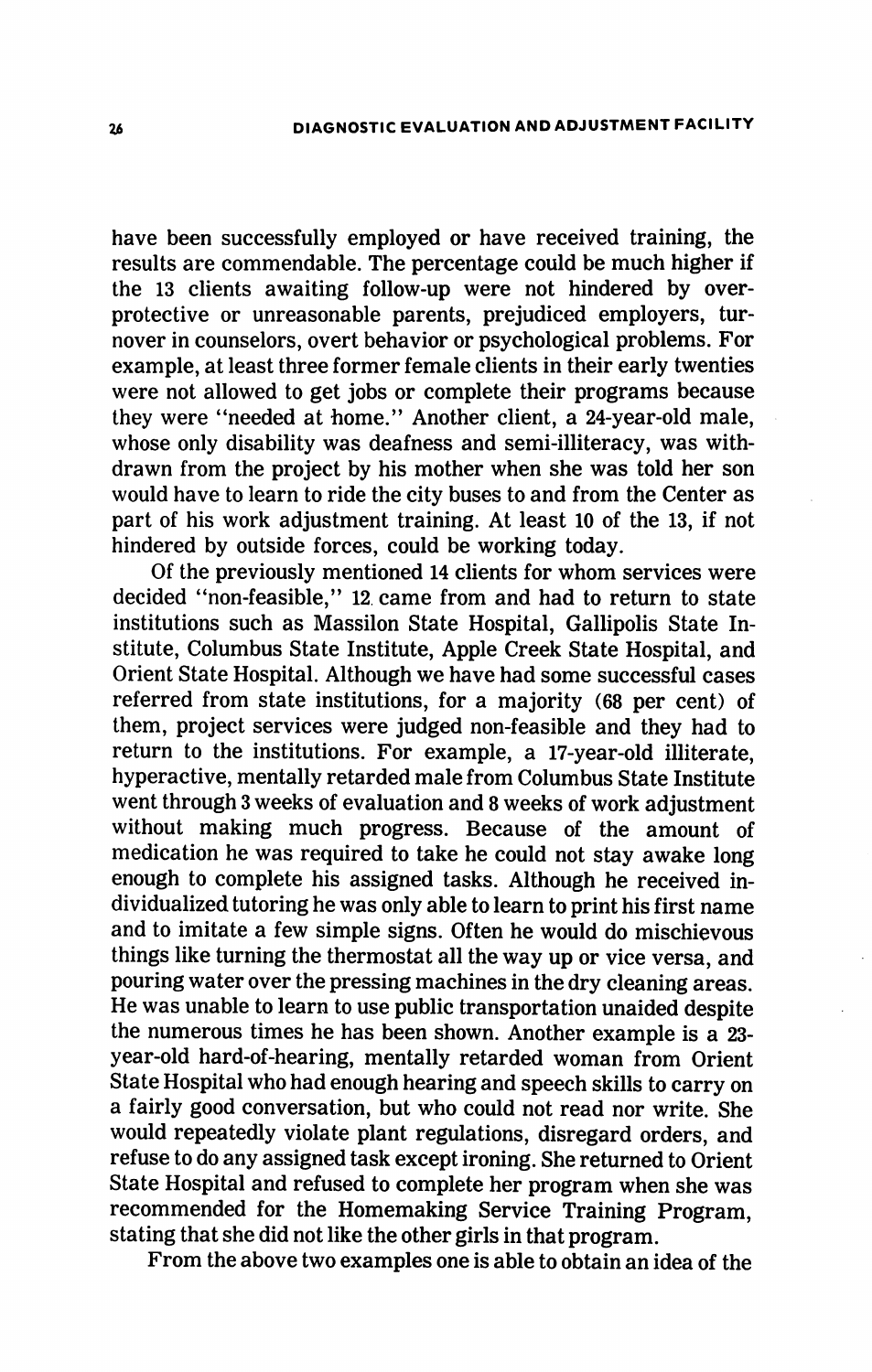have been successfully employed or have received training, the results are commendable. The percentage could be much higher if the 13 clients awaiting follow-up were not hindered by overprotective or unreasonable parents, prejudiced employers, tur nover in counselors, overt behavior or psychological problems. For example, at least three former female clients in their early twenties were not allowed to get jobs or complete their programs because they were "needed at home." Another client, a 24-year-old male, whose only disability was deafness and semi-illiteracy, was with drawn from the project by his mother when she was told her son would have to learn to ride the city buses to and from the Center as part of his work adjustment training. At least 10 of the 13, if not hindered by outside forces, could be working today.

Of the previously mentioned 14 clients for whom services were decided "non-feasible," 12. came from and had to return to state institutions such as Massilon State Hospital, Gallipolis State In stitute, Columbus State Institute, Apple Creek State Hospital, and Orient State Hospital. Although we have had some successful cases referred from state institutions, for a majority (68 per cent) of them, project services were judged non-feasible and they had to return to the institutions. For example, a 17-year-old illiterate, hyperactive, mentally retarded male from Columbus State Institute went through 3 weeks of evaluation and 8 weeks of work adjustment without making much progress. Because of the amount of medication he was required to take he could not stay awake long enough to complete his assigned tasks. Although he received in dividualized tutoring he was only able to learn to print his first name and to imitate a few simple signs. Often he would do mischievous things like turning the thermostat all the way up or vice versa, and pouring water over the pressing machines in the dry cleaning areas. He was unable to learn to use public transportation unaided despite the numerous times he has been shown. Another example is a 23 year-old hard-of-hearing, mentally retarded woman from Orient State Hospital who had enough hearing and speech skills to carry on a fairly good conversation, but who could not read nor write. She would repeatedly violate plant regulations, disregard orders, and refuse to do any assigned task except ironing. She returned to Orient State Hospital and refused to complete her program when she was recommended for the Homemaking Service Training Program, stating that she did not like the other girls in that program.

From the above two examples one is able to obtain an idea of the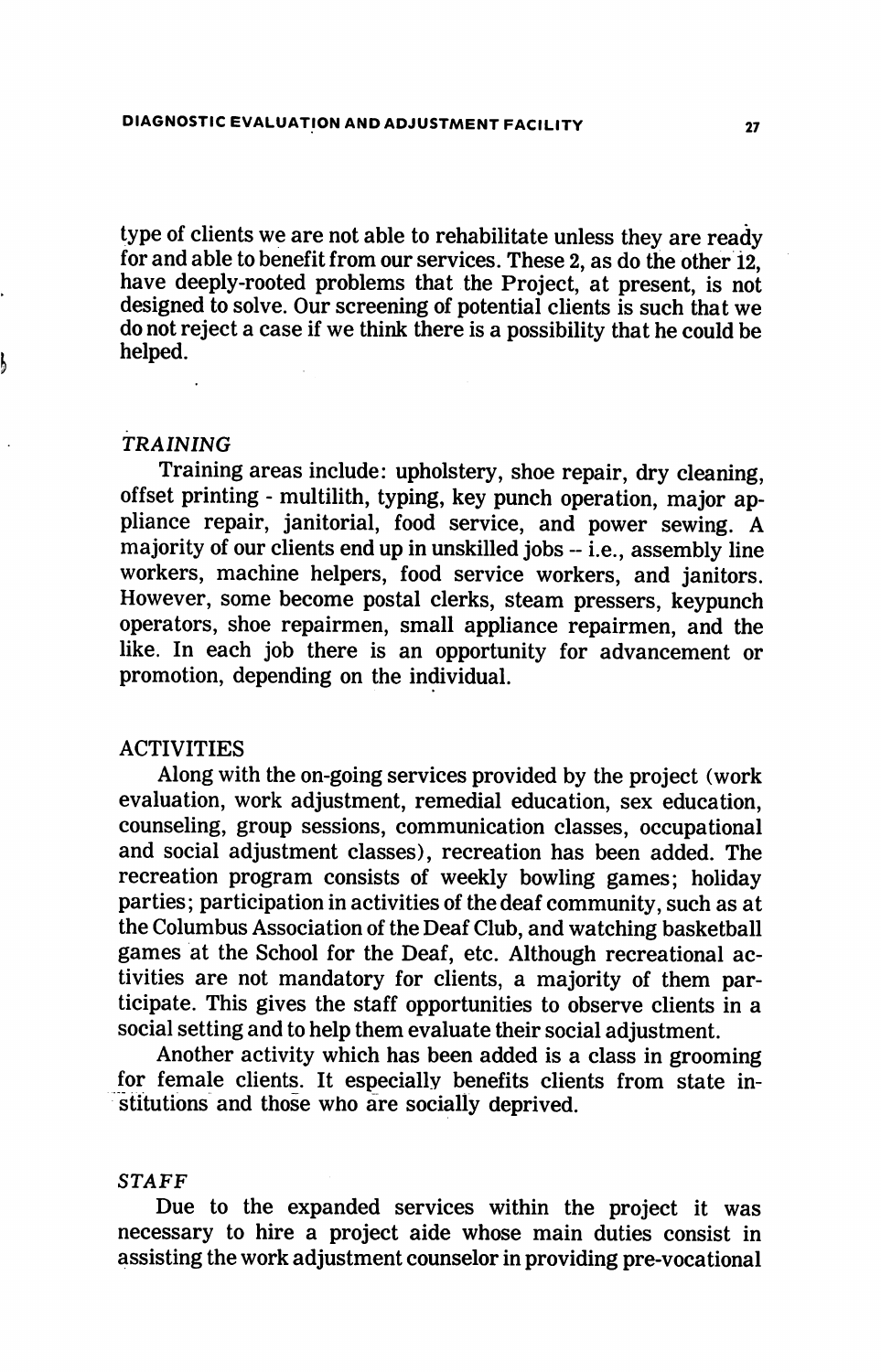type of clients we are not able to rehabilitate unless they are ready for and able to benefit from our services. These 2, as do the other 12, have deeply-rooted problems that the Project, at present, is not designed to solve. Our screening of potential clients is such that we do not reject a case if we think there is a possibility that he could be helped.

#### TRAINING

Training areas include: upholstery, shoe repair, dry cleaning, offset printing - multilith, typing, key punch operation, major ap pliance repair, janitorial, food service, and power sewing. A majority of our clients end up in unskilled jobs  $-$  i.e., assembly line workers, machine helpers, food service workers, and janitors. However, some become postal clerks, steam pressers, keypunch operators, shoe repairmen, small appliance repairmen, and the like. In each job there is an opportunity for advancement or promotion, depending on the individual.

# ACTIVITIES

Along with the on-going services provided by the project (work evaluation, work adjustment, remedial education, sex education, counseling, group sessions, communication classes, occupational and social adjustment classes), recreation has been added. The recreation program consists of weekly bowling games; holiday parties; participation in activities of the deaf community, such as at the Columbus Association of the Deaf Club, and watching basketball games at the School for the Deaf, etc. Although recreational ac tivities are not mandatory for clients, a majority of them par ticipate. This gives the staff opportunities to observe clients in a social setting and to help them evaluate their social adjustment.

Another activity which has been added is a class in grooming for female clients. It especially benefits clients from state in stitutions and those who are socially deprived.

## STAFF

Due to the expanded services within the project it was necessary to hire a project aide whose main duties consist in assisting the work adjustment counselor in providing pre-vocational